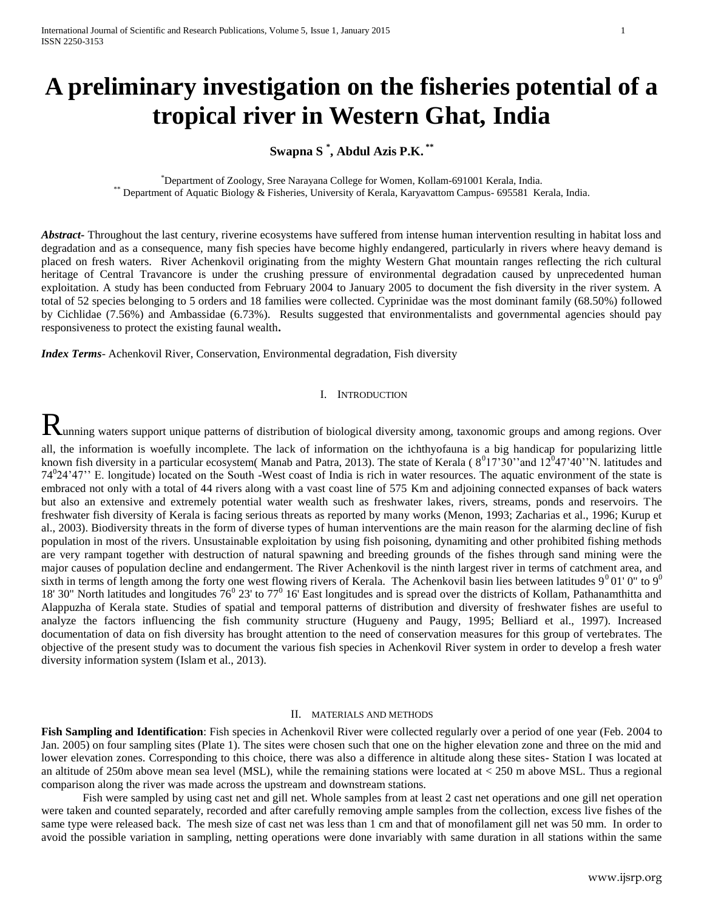# **A preliminary investigation on the fisheries potential of a tropical river in Western Ghat, India**

## **Swapna S \* , Abdul Azis P.K. \*\***

\*Department of Zoology, Sree Narayana College for Women, Kollam-691001 Kerala, India. \*\* Department of Aquatic Biology & Fisheries, University of Kerala, Karyavattom Campus- 695581 Kerala, India.

*Abstract*- Throughout the last century, riverine ecosystems have suffered from intense human intervention resulting in habitat loss and degradation and as a consequence, many fish species have become highly endangered, particularly in rivers where heavy demand is placed on fresh waters. River Achenkovil originating from the mighty Western Ghat mountain ranges reflecting the rich cultural heritage of Central Travancore is under the crushing pressure of environmental degradation caused by unprecedented human exploitation. A study has been conducted from February 2004 to January 2005 to document the fish diversity in the river system. A total of 52 species belonging to 5 orders and 18 families were collected. Cyprinidae was the most dominant family (68.50%) followed by Cichlidae (7.56%) and Ambassidae (6.73%). Results suggested that environmentalists and governmental agencies should pay responsiveness to protect the existing faunal wealth**.**

*Index Terms*- Achenkovil River, Conservation, Environmental degradation, Fish diversity

#### I. INTRODUCTION

 ${\bf R}$ unning waters support unique patterns of distribution of biological diversity among, taxonomic groups and among regions. Over all, the information is woefully incomplete. The lack of information on the ichthyofauna is a big handicap for popularizing little known fish diversity in a particular ecosystem(Manab and Patra, 2013). The state of Kerala ( $8^017^330'$  and  $12^047'40''$ N. latitudes and 74<sup>0</sup>24'47" E. longitude) located on the South -West coast of India is rich in water resources. The aquatic environment of the state is embraced not only with a total of 44 rivers along with a vast coast line of 575 Km and adjoining connected expanses of back waters but also an extensive and extremely potential water wealth such as freshwater lakes, rivers, streams, ponds and reservoirs. The freshwater fish diversity of Kerala is facing serious threats as reported by many works (Menon, 1993; Zacharias et al., 1996; Kurup et al., 2003). Biodiversity threats in the form of diverse types of human interventions are the main reason for the alarming decline of fish population in most of the rivers. Unsustainable exploitation by using fish poisoning, dynamiting and other prohibited fishing methods are very rampant together with destruction of natural spawning and breeding grounds of the fishes through sand mining were the major causes of population decline and endangerment. The River Achenkovil is the ninth largest river in terms of catchment area, and sixth in terms of length among the forty one west flowing rivers of Kerala. The Achenkovil basin lies between latitudes  $9^001'0''$  to  $9^0$ 18' 30" North latitudes and longitudes  $76^{\circ}$  23' to  $77^{\circ}$  16' East longitudes and is spread over the districts of Kollam, Pathanamthitta and Alappuzha of Kerala state. Studies of spatial and temporal patterns of distribution and diversity of freshwater fishes are useful to analyze the factors influencing the fish community structure (Hugueny and Paugy, 1995; Belliard et al., 1997). Increased documentation of data on fish diversity has brought attention to the need of conservation measures for this group of vertebrates. The objective of the present study was to document the various fish species in Achenkovil River system in order to develop a fresh water diversity information system (Islam et al., 2013).

#### II. MATERIALS AND METHODS

**Fish Sampling and Identification**: Fish species in Achenkovil River were collected regularly over a period of one year (Feb. 2004 to Jan. 2005) on four sampling sites (Plate 1). The sites were chosen such that one on the higher elevation zone and three on the mid and lower elevation zones. Corresponding to this choice, there was also a difference in altitude along these sites- Station I was located at an altitude of 250m above mean sea level (MSL), while the remaining stations were located at  $<$  250 m above MSL. Thus a regional comparison along the river was made across the upstream and downstream stations.

Fish were sampled by using cast net and gill net. Whole samples from at least 2 cast net operations and one gill net operation were taken and counted separately, recorded and after carefully removing ample samples from the collection, excess live fishes of the same type were released back. The mesh size of cast net was less than 1 cm and that of monofilament gill net was 50 mm. In order to avoid the possible variation in sampling, netting operations were done invariably with same duration in all stations within the same

www.ijsrp.org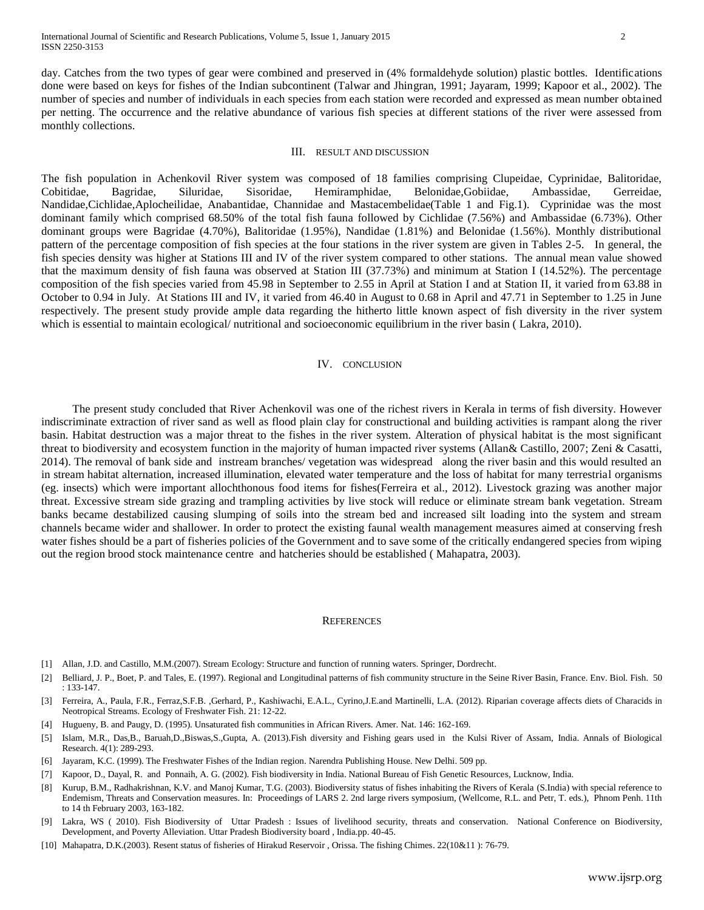day. Catches from the two types of gear were combined and preserved in (4% formaldehyde solution) plastic bottles. Identifications done were based on keys for fishes of the Indian subcontinent (Talwar and Jhingran, 1991; Jayaram, 1999; Kapoor et al., 2002). The number of species and number of individuals in each species from each station were recorded and expressed as mean number obtained per netting. The occurrence and the relative abundance of various fish species at different stations of the river were assessed from monthly collections.

#### III. RESULT AND DISCUSSION

The fish population in Achenkovil River system was composed of 18 families comprising Clupeidae, Cyprinidae, Balitoridae, Cobitidae, Bagridae, Siluridae, Sisoridae, Hemiramphidae, Belonidae,Gobiidae, Ambassidae, Gerreidae, Nandidae,Cichlidae,Aplocheilidae, Anabantidae, Channidae and Mastacembelidae(Table 1 and Fig.1). Cyprinidae was the most dominant family which comprised 68.50% of the total fish fauna followed by Cichlidae (7.56%) and Ambassidae (6.73%). Other dominant groups were Bagridae (4.70%), Balitoridae (1.95%), Nandidae (1.81%) and Belonidae (1.56%). Monthly distributional pattern of the percentage composition of fish species at the four stations in the river system are given in Tables 2-5. In general, the fish species density was higher at Stations III and IV of the river system compared to other stations. The annual mean value showed that the maximum density of fish fauna was observed at Station III (37.73%) and minimum at Station I (14.52%). The percentage composition of the fish species varied from 45.98 in September to 2.55 in April at Station I and at Station II, it varied from 63.88 in October to 0.94 in July. At Stations III and IV, it varied from 46.40 in August to 0.68 in April and 47.71 in September to 1.25 in June respectively. The present study provide ample data regarding the hitherto little known aspect of fish diversity in the river system which is essential to maintain ecological/ nutritional and socioeconomic equilibrium in the river basin (Lakra, 2010).

#### IV. CONCLUSION

The present study concluded that River Achenkovil was one of the richest rivers in Kerala in terms of fish diversity. However indiscriminate extraction of river sand as well as flood plain clay for constructional and building activities is rampant along the river basin. Habitat destruction was a major threat to the fishes in the river system. Alteration of physical habitat is the most significant threat to biodiversity and ecosystem function in the majority of human impacted river systems (Allan& Castillo, 2007; Zeni & Casatti, 2014). The removal of bank side and instream branches/ vegetation was widespread along the river basin and this would resulted an in stream habitat alternation, increased illumination, elevated water temperature and the loss of habitat for many terrestrial organisms (eg. insects) which were important allochthonous food items for fishes(Ferreira et al., 2012). Livestock grazing was another major threat. Excessive stream side grazing and trampling activities by live stock will reduce or eliminate stream bank vegetation. Stream banks became destabilized causing slumping of soils into the stream bed and increased silt loading into the system and stream channels became wider and shallower. In order to protect the existing faunal wealth management measures aimed at conserving fresh water fishes should be a part of fisheries policies of the Government and to save some of the critically endangered species from wiping out the region brood stock maintenance centre and hatcheries should be established ( Mahapatra, 2003).

#### **REFERENCES**

- [1] Allan, J.D. and Castillo, M.M.(2007). Stream Ecology: Structure and function of running waters. Springer, Dordrecht.
- [2] Belliard, J. P., Boet, P. and Tales, E. (1997). Regional and Longitudinal patterns of fish community structure in the Seine River Basin, France. Env. Biol. Fish. 50 : 133-147.
- [3] Ferreira, A., Paula, F.R., Ferraz,S.F.B., Gerhard, P., Kashiwachi, E.A.L., Cyrino,J.E.and Martinelli, L.A. (2012). Riparian coverage affects diets of Characids in Neotropical Streams. Ecology of Freshwater Fish. 21: 12-22.
- [4] Hugueny, B. and Paugy, D. (1995). Unsaturated fish communities in African Rivers. Amer. Nat. 146: 162-169.
- [5] Islam, M.R., Das,B., Baruah,D.,Biswas,S.,Gupta, A. (2013).Fish diversity and Fishing gears used in the Kulsi River of Assam, India. Annals of Biological Research. 4(1): 289-293.
- [6] Jayaram, K.C. (1999). The Freshwater Fishes of the Indian region. Narendra Publishing House. New Delhi. 509 pp.
- [7] Kapoor, D., Dayal, R. and Ponnaih, A. G. (2002). Fish biodiversity in India. National Bureau of Fish Genetic Resources, Lucknow, India.
- [8] Kurup, B.M., Radhakrishnan, K.V. and Manoj Kumar, T.G. (2003). Biodiversity status of fishes inhabiting the Rivers of Kerala (S.India) with special reference to Endemism, Threats and Conservation measures. In: Proceedings of LARS 2. 2nd large rivers symposium, (Wellcome, R.L. and Petr, T. eds.), Phnom Penh. 11th to 14 th February 2003, 163-182.
- [9] Lakra, WS ( 2010). Fish Biodiversity of Uttar Pradesh : Issues of livelihood security, threats and conservation. National Conference on Biodiversity, Development, and Poverty Alleviation. Uttar Pradesh Biodiversity board , India.pp. 40-45.
- [10] Mahapatra, D.K.(2003). Resent status of fisheries of Hirakud Reservoir , Orissa. The fishing Chimes. 22(10&11 ): 76-79.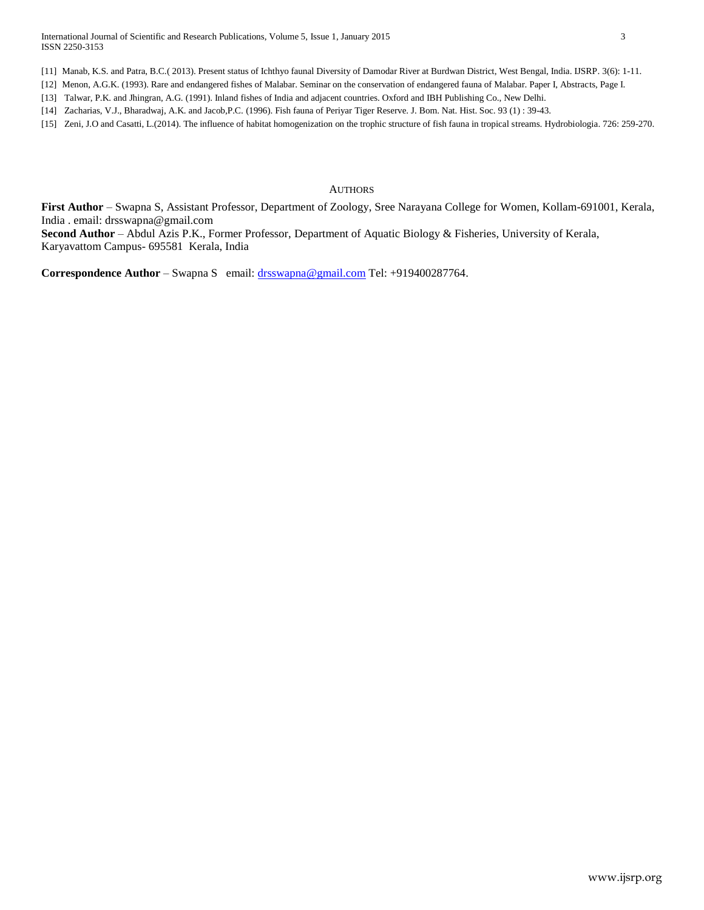[11] Manab, K.S. and Patra, B.C.( 2013). Present status of Ichthyo faunal Diversity of Damodar River at Burdwan District, West Bengal, India. IJSRP. 3(6): 1-11.

[12] Menon, A.G.K. (1993). Rare and endangered fishes of Malabar. Seminar on the conservation of endangered fauna of Malabar. Paper I, Abstracts, Page I.

[13] Talwar, P.K. and Jhingran, A.G. (1991). Inland fishes of India and adjacent countries. Oxford and IBH Publishing Co., New Delhi.

[14] Zacharias, V.J., Bharadwaj, A.K. and Jacob,P.C. (1996). Fish fauna of Periyar Tiger Reserve. J. Bom. Nat. Hist. Soc. 93 (1) : 39-43.

[15] Zeni, J.O and Casatti, L.(2014). The influence of habitat homogenization on the trophic structure of fish fauna in tropical streams. Hydrobiologia. 726: 259-270.

### **AUTHORS**

**First Author** – Swapna S, Assistant Professor, Department of Zoology, Sree Narayana College for Women, Kollam-691001, Kerala, India . email: drsswapna@gmail.com

**Second Author** – Abdul Azis P.K., Former Professor, Department of Aquatic Biology & Fisheries, University of Kerala, Karyavattom Campus- 695581 Kerala, India

**Correspondence Author – Swapna S** email: [drsswapna@gmail.com](mailto:drsswapna@gmail.com) Tel: +919400287764.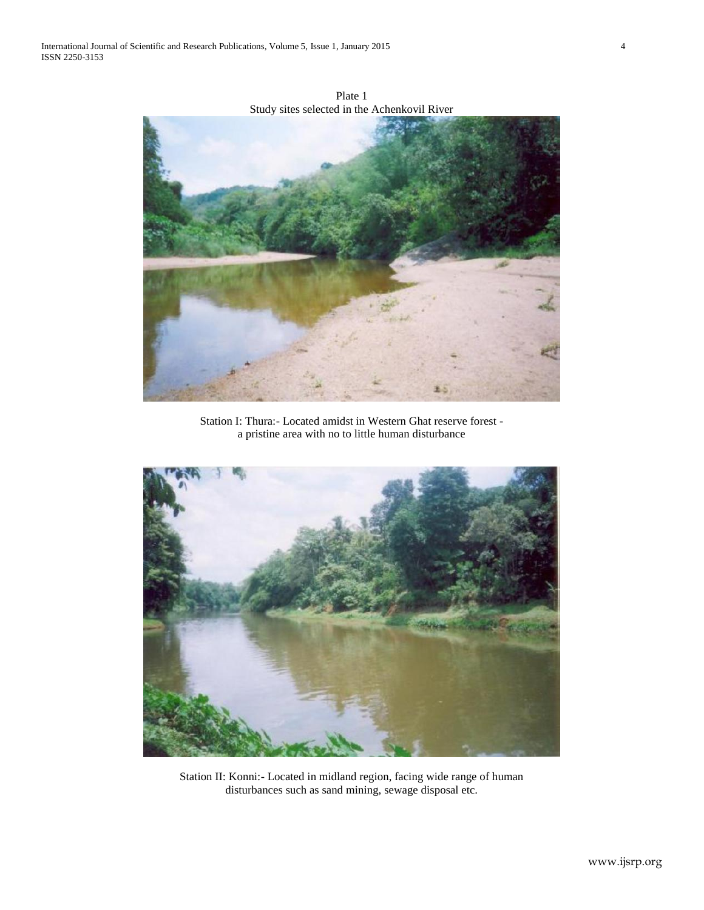

Plate 1 Study sites selected in the Achenkovil River

Station I: Thura:- Located amidst in Western Ghat reserve forest a pristine area with no to little human disturbance



Station II: Konni:- Located in midland region, facing wide range of human disturbances such as sand mining, sewage disposal etc.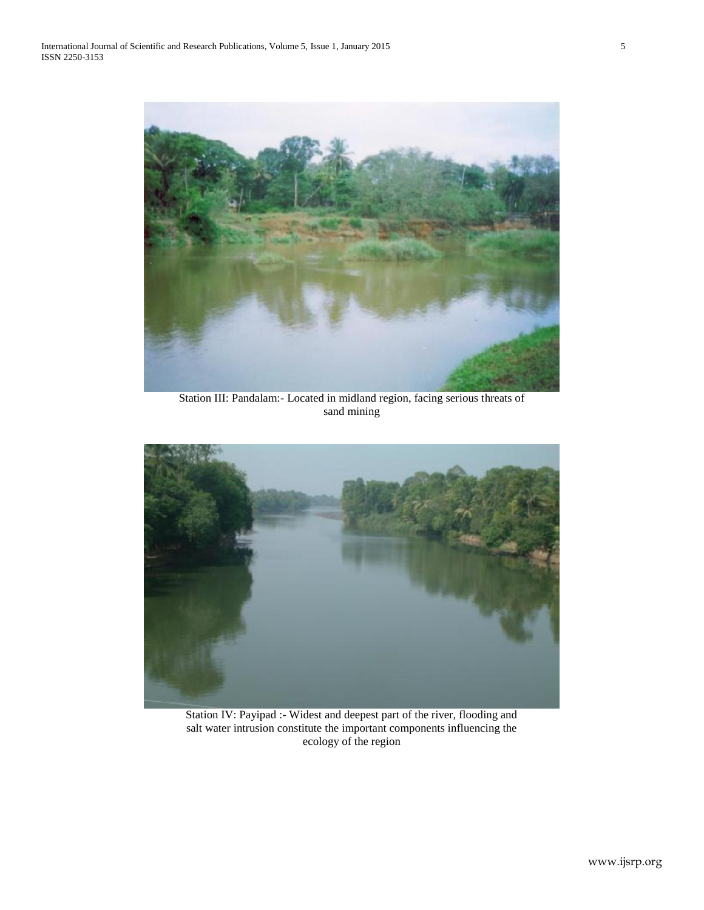

Station III: Pandalam:- Located in midland region, facing serious threats of sand mining



Station IV: Payipad :- Widest and deepest part of the river, flooding and salt water intrusion constitute the important components influencing the ecology of the region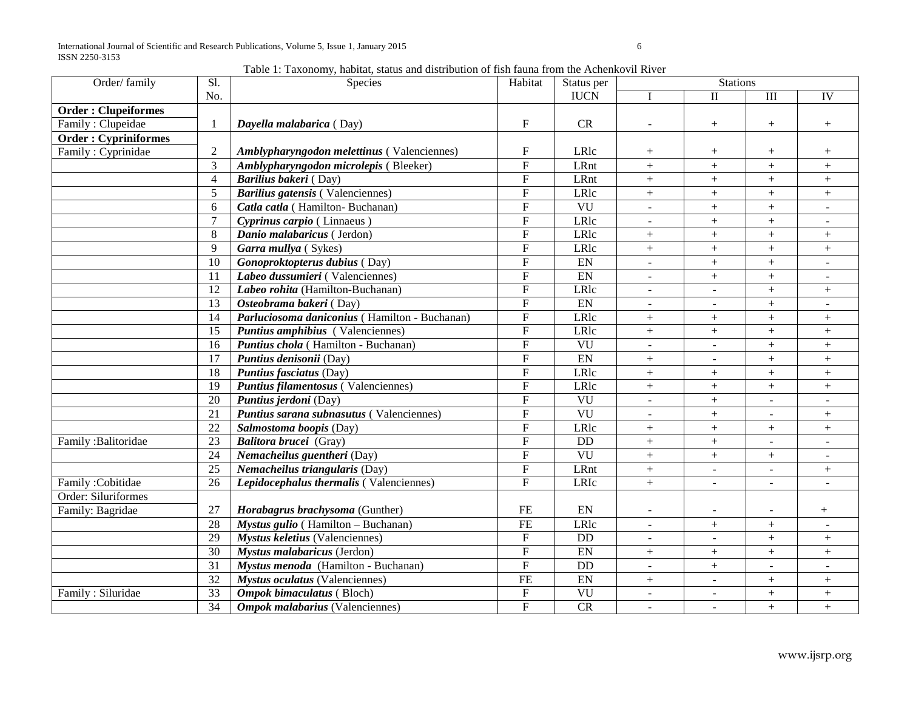Table 1: Taxonomy, habitat, status and distribution of fish fauna from the Achenkovil River

| Order/family                | Sl.             | Species                                       | Habitat                   | Status per             |                          | <b>Stations</b>          |                          |                          |
|-----------------------------|-----------------|-----------------------------------------------|---------------------------|------------------------|--------------------------|--------------------------|--------------------------|--------------------------|
|                             | No.             |                                               |                           | <b>IUCN</b>            |                          | $\mathbf{I}$             | III                      | IV                       |
| <b>Order: Clupeiformes</b>  |                 |                                               |                           |                        |                          |                          |                          |                          |
| Family: Clupeidae           |                 | Dayella malabarica (Day)                      | $\boldsymbol{\mathrm{F}}$ | CR                     | $\blacksquare$           | $+$                      | $+$                      | $+$                      |
| <b>Order: Cypriniformes</b> |                 |                                               |                           |                        |                          |                          |                          |                          |
| Family: Cyprinidae          | 2               | Amblypharyngodon melettinus (Valenciennes)    | $\mathbf F$               | LRlc                   | $^{+}$                   | $\boldsymbol{+}$         |                          | $^{+}$                   |
|                             | 3               | Amblypharyngodon microlepis (Bleeker)         | $\mathbf F$               | LRnt                   | $+$                      | $\qquad \qquad +$        | $\boldsymbol{+}$         | $+$                      |
|                             | $\overline{4}$  | Barilius bakeri (Day)                         | $\mathbf F$               | LRnt                   | $+$                      | $+$                      | $+$                      | $+$                      |
|                             | 5               | <b>Barilius gatensis</b> (Valenciennes)       | ${\bf F}$                 | LRlc                   | $+$                      | $+$                      | $\boldsymbol{+}$         |                          |
|                             | 6               | Catla catla (Hamilton-Buchanan)               | $\mathbf{F}$              | $\overline{\text{VU}}$ | $\overline{\phantom{a}}$ | $+$                      | $+$                      | $\overline{\phantom{a}}$ |
|                             | $\overline{7}$  | Cyprinus carpio (Linnaeus)                    | ${\bf F}$                 | LRlc                   | $\overline{a}$           | $+$                      | $+$                      |                          |
|                             | 8               | Danio malabaricus (Jerdon)                    | $\mathbf F$               | LRlc                   | $+$                      | $+$                      | $+$                      | $+$                      |
|                             | 9               | Garra mullya (Sykes)                          | ${\bf F}$                 | LRlc                   | $+$                      | $\! +$                   | $+$                      | $+$                      |
|                             | $\overline{10}$ | Gonoproktopterus dubius (Day)                 | $\overline{F}$            | EN                     | $\blacksquare$           | $+$                      | $+$                      | $\sim$                   |
|                             | 11              | Labeo dussumieri (Valenciennes)               | $\mathbf{F}$              | EN                     | $\blacksquare$           | $+$                      | $+$                      | $\blacksquare$           |
|                             | 12              | Labeo rohita (Hamilton-Buchanan)              | ${\bf F}$                 | LRlc                   | $\overline{a}$           | $\overline{\phantom{a}}$ | $+$                      | $+$                      |
|                             | 13              | Osteobrama bakeri (Day)                       | $\overline{F}$            | EN                     | $\overline{a}$           | $\overline{a}$           | $+$                      |                          |
|                             | 14              | Parluciosoma daniconius (Hamilton - Buchanan) | $\mathbf{F}$              | LRlc                   | $+$                      | $+$                      | $+$                      | $+$                      |
|                             | 15              | Puntius amphibius (Valenciennes)              | $\mathbf{F}$              | LRlc                   | $+$                      | $+$                      | $+$                      | $+$                      |
|                             | 16              | <b>Puntius chola</b> (Hamilton - Buchanan)    | $\mathbf{F}$              | VU                     | $\blacksquare$           | $\blacksquare$           | $+$                      | $+$                      |
|                             | 17              | Puntius denisonii (Day)                       | ${\bf F}$                 | EN                     | $+$                      | $\blacksquare$           | $+$                      | $+$                      |
|                             | 18              | <b>Puntius fasciatus (Day)</b>                | ${\bf F}$                 | LRlc                   | $+$                      | $+$                      | $+$                      | $+$                      |
|                             | 19              | <b>Puntius filamentosus (Valenciennes)</b>    | $\mathbf{F}$              | LRlc                   | $+$                      | $+$                      | $+$                      | $\boldsymbol{+}$         |
|                             | 20              | Puntius jerdoni (Day)                         | $\overline{F}$            | $\overline{\text{VU}}$ | $\overline{a}$           | $+$                      | $\overline{a}$           | $\sim$                   |
|                             | $\overline{21}$ | Puntius sarana subnasutus (Valenciennes)      | $\overline{F}$            | VU                     | $\sim$                   | $\! +$                   | $\overline{\phantom{a}}$ | $+$                      |
|                             | $\overline{22}$ | Salmostoma boopis (Day)                       | F                         | LRlc                   | $+$                      | $+$                      | $^{+}$                   | $+$                      |
| Family : Balitoridae        | $\overline{23}$ | Balitora brucei (Gray)                        | $\overline{F}$            | $\overline{DD}$        | $+$                      | $+$                      | $\blacksquare$           | $\sim$                   |
|                             | $\overline{24}$ | Nemacheilus guentheri (Day)                   | $\overline{F}$            | VU                     | $+$                      | $+$                      | $+$                      |                          |
|                             | $\overline{25}$ | Nemacheilus triangularis (Day)                | ${\bf F}$                 | LRnt                   | $+$                      | $\overline{a}$           | $\overline{a}$           | $+$                      |
| Family: Cobitidae           | 26              | Lepidocephalus thermalis (Valenciennes)       | $\overline{F}$            | LRIc                   | $+$                      | $\overline{\phantom{a}}$ | $\overline{a}$           |                          |
| Order: Siluriformes         |                 |                                               |                           |                        |                          |                          |                          |                          |
| Family: Bagridae            | 27              | Horabagrus brachysoma (Gunther)               | FE                        | ${\rm EN}$             | $\overline{\phantom{a}}$ | $\overline{\phantom{a}}$ | $\overline{a}$           | $^{+}$                   |
|                             | $\overline{28}$ | Mystus gulio (Hamilton - Buchanan)            | <b>FE</b>                 | LRlc                   | $\blacksquare$           | $+$                      | $+$                      | $\blacksquare$           |
|                             | $\overline{29}$ | <b>Mystus keletius (Valenciennes)</b>         | $\overline{F}$            | $\overline{DD}$        | $\overline{\phantom{a}}$ | $\blacksquare$           | $+$                      | $^{+}$                   |
|                             | $\overline{30}$ | Mystus malabaricus (Jerdon)                   | $\overline{\mathrm{F}}$   | EN                     | $+$                      | $+$                      |                          | $+$                      |
|                             | $\overline{31}$ | Mystus menoda (Hamilton - Buchanan)           | $\overline{F}$            | $\overline{DD}$        | $\overline{a}$           | $+$                      | $\overline{a}$           | $\overline{\phantom{a}}$ |
|                             | 32              | Mystus oculatus (Valenciennes)                | FE                        | EN                     | $+$                      | $\blacksquare$           | $+$                      | $+$                      |
| Family: Siluridae           | $\overline{33}$ | <b>Ompok bimaculatus</b> (Bloch)              | $\overline{F}$            | VU                     | $\mathbf{r}$             | $\equiv$                 | $+$                      | $+$                      |
|                             | $\overline{34}$ | <b>Ompok malabarius</b> (Valenciennes)        | $\overline{F}$            | CR                     | $\overline{a}$           | $\sim$                   | $+$                      | $+$                      |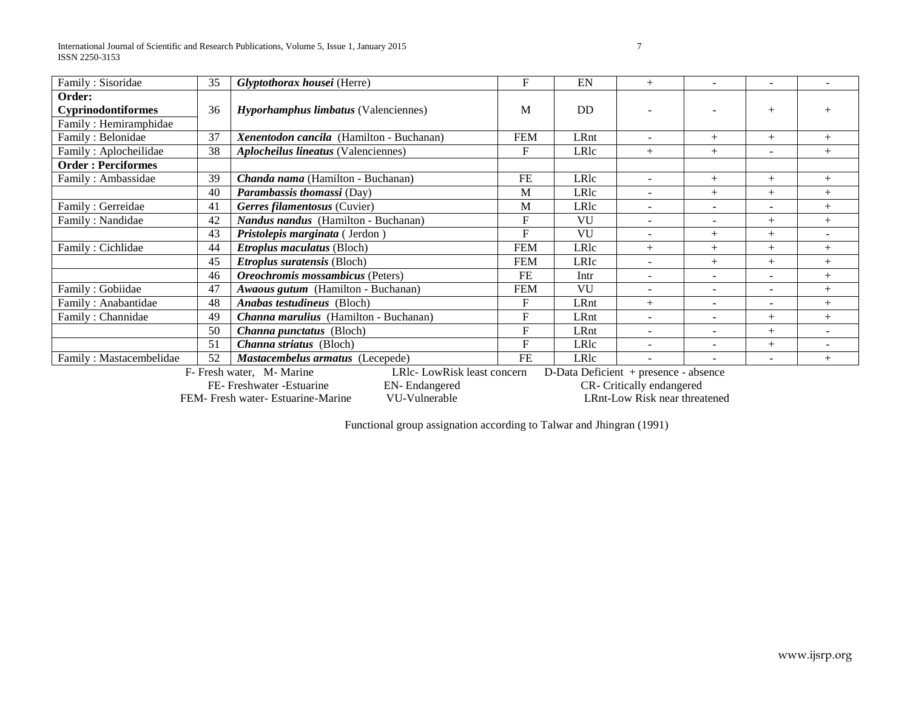International Journal of Scientific and Research Publications, Volume 5, Issue 1, January 2015 7 ISSN 2250-3153

| Family: Sisoridae                                            | 35 | Glyptothorax housei (Herre)                             | F          | EN        | $^{+}$                                | $\overline{\phantom{a}}$ | $\overline{\phantom{a}}$ |     |
|--------------------------------------------------------------|----|---------------------------------------------------------|------------|-----------|---------------------------------------|--------------------------|--------------------------|-----|
| Order:<br><b>Cyprinodontiformes</b><br>Family: Hemiramphidae | 36 | <i>Hyporhamphus limbatus</i> (Valenciennes)             | M          | <b>DD</b> |                                       |                          | $^{+}$                   |     |
| Family: Belonidae                                            | 37 | Xenentodon cancila (Hamilton - Buchanan)                | <b>FEM</b> | LRnt      | ۰                                     | $^{+}$                   | $^{+}$                   | $+$ |
| Family: Aplocheilidae                                        | 38 | <b>Aplocheilus lineatus</b> (Valenciennes)              | $F_{\rm}$  | LRlc      | $+$                                   | $^{+}$                   |                          | $+$ |
| <b>Order: Perciformes</b>                                    |    |                                                         |            |           |                                       |                          |                          |     |
| Family: Ambassidae                                           | 39 | Chanda nama (Hamilton - Buchanan)                       | <b>FE</b>  | LRlc      | ÷                                     | $^{+}$                   | $^{+}$                   | $+$ |
|                                                              | 40 | Parambassis thomassi (Day)                              | M          | LRlc      |                                       | $^{+}$                   | $^{+}$                   | $+$ |
| Family: Gerreidae                                            | 41 | Gerres filamentosus (Cuvier)                            | M          | LRlc      | $\overline{\phantom{a}}$              | $\overline{\phantom{a}}$ | $\overline{\phantom{a}}$ | $+$ |
| Family: Nandidae                                             | 42 | Nandus nandus (Hamilton - Buchanan)                     | $F_{\rm}$  | VU        |                                       |                          | $+$                      | $+$ |
|                                                              | 43 | Pristolepis marginata (Jerdon)                          | F          | VU        | $\overline{\phantom{a}}$              | $^{+}$                   | $^{+}$                   |     |
| Family: Cichlidae                                            | 44 | Etroplus maculatus (Bloch)                              | <b>FEM</b> | LRlc      | $+$                                   | $^{+}$                   | $^{+}$                   | $+$ |
|                                                              | 45 | Etroplus suratensis (Bloch)                             | <b>FEM</b> | LRIc      |                                       | $^{+}$                   | $^{+}$                   | $+$ |
|                                                              | 46 | Oreochromis mossambicus (Peters)                        | FE         | Intr      | ۰                                     | $\overline{\phantom{a}}$ |                          | $+$ |
| Family: Gobiidae                                             | 47 | Awaous gutum (Hamilton - Buchanan)                      | <b>FEM</b> | VU        | $\equiv$                              | $\equiv$                 | $\sim$                   | $+$ |
| Family: Anabantidae                                          | 48 | <b>Anabas testudineus</b> (Bloch)                       | F          | LRnt      | $^{+}$                                | $\overline{\phantom{a}}$ | $\overline{\phantom{a}}$ | $+$ |
| Family: Channidae                                            | 49 | Channa marulius (Hamilton - Buchanan)                   | F          | LRnt      | ۰                                     | ۰                        | $^{+}$                   | $+$ |
|                                                              | 50 | Channa punctatus (Bloch)                                | $F_{\rm}$  | LRnt      |                                       |                          | $^{+}$                   |     |
|                                                              | 51 | <i>Channa striatus</i> (Bloch)                          | F          | LRlc      | $\overline{\phantom{a}}$              | $\overline{\phantom{a}}$ | $^{+}$                   |     |
| Family: Mastacembelidae                                      | 52 | Mastacembelus armatus (Lecepede)                        | <b>FE</b>  | LRlc      |                                       | $\blacksquare$           |                          | $+$ |
|                                                              |    | LRlc-LowRisk least concern<br>F- Fresh water, M- Marine |            |           | D-Data Deficient + presence - absence |                          |                          |     |

FE- Freshwater -Estuarine EN- Endangered CR- Critically endangered<br>Freshwater- Estuarine-Marine VU-Vulnerable LRnt-Low Risk near threatened

FEM- Fresh water- Estuarine-Marine

Functional group assignation according to Talwar and Jhingran (1991)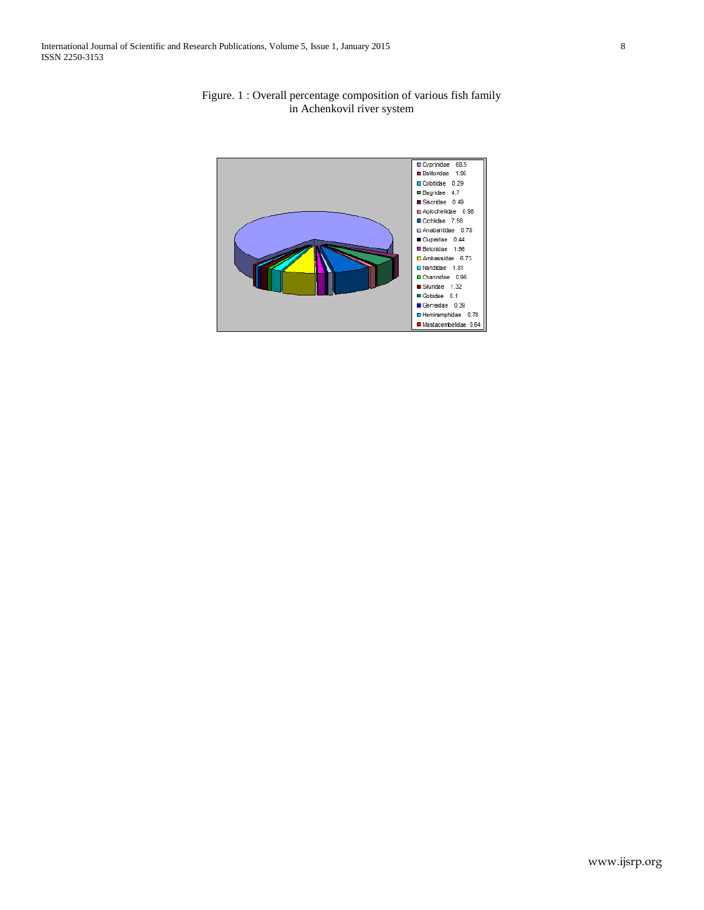

Figure. 1 : Overall percentage composition of various fish family in Achenkovil river system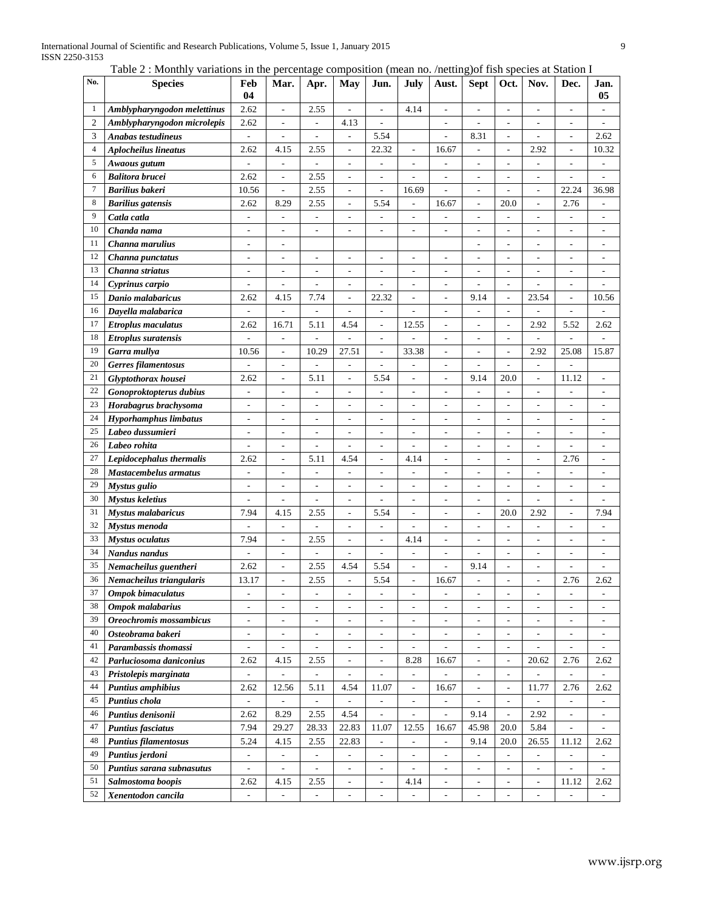Table 2 : Monthly variations in the percentage composition (mean no. /netting)of fish species at Station I

| No.            | <b>Species</b>              | Feb<br>04                    | Mar.                         | Apr.                         | May                          | Jun.                         | July                        | Aust.                        | <b>Sept</b>              | Oct.                         | Nov.                         | Dec.                         | Jan.<br>05               |
|----------------|-----------------------------|------------------------------|------------------------------|------------------------------|------------------------------|------------------------------|-----------------------------|------------------------------|--------------------------|------------------------------|------------------------------|------------------------------|--------------------------|
| 1              | Amblypharyngodon melettinus | 2.62                         |                              | 2.55                         |                              |                              | 4.14                        | $\qquad \qquad \blacksquare$ |                          |                              |                              |                              |                          |
| $\overline{2}$ | Amblypharyngodon microlepis | 2.62                         |                              | ÷,                           | 4.13                         | $\overline{a}$               |                             |                              |                          | L,                           |                              | Ĭ.                           |                          |
| 3              | Anabas testudineus          | $\overline{\phantom{a}}$     | $\overline{\phantom{a}}$     | ÷,                           | L.                           | 5.54                         |                             | L,                           | 8.31                     | $\overline{a}$               | ÷,                           | L,                           | 2.62                     |
| $\overline{4}$ | <b>Aplocheilus lineatus</b> | 2.62                         | 4.15                         | 2.55                         |                              | 22.32                        | $\overline{a}$              | 16.67                        | $\overline{a}$           | $\overline{a}$               | 2.92                         | L,                           | 10.32                    |
| $\sqrt{5}$     | Awaous gutum                | ÷                            | $\overline{\phantom{a}}$     | $\overline{\phantom{0}}$     | $\overline{a}$               | $\overline{a}$               | $\overline{a}$              | $\overline{a}$               |                          | $\overline{a}$               | $\overline{a}$               | $\overline{a}$               | $\overline{a}$           |
| 6              | <b>Balitora brucei</b>      | 2.62                         | ÷                            | 2.55                         | ÷,                           | L,                           |                             | ÷,                           | $\sim$                   | L,                           | ÷,                           | L,                           | $\overline{a}$           |
| $\tau$         | <b>Barilius</b> bakeri      | 10.56                        | $\overline{a}$               | 2.55                         | L.                           | $\overline{a}$               | 16.69                       | $\overline{a}$               | $\sim$                   | ÷                            | ÷,                           | 22.24                        | 36.98                    |
| 8              | <b>Barilius</b> gatensis    | 2.62                         | 8.29                         | 2.55                         | $\overline{\phantom{a}}$     | 5.54                         | $\overline{\phantom{a}}$    | 16.67                        | $\overline{\phantom{a}}$ | 20.0                         | ÷,                           | 2.76                         | $\overline{\phantom{a}}$ |
| 9              | Catla catla                 | $\overline{a}$               | $\overline{a}$               | $\overline{a}$               | $\overline{\phantom{a}}$     | $\overline{a}$               | ÷,                          | $\overline{a}$               | $\overline{a}$           |                              | $\overline{a}$               | ÷,                           | $\overline{\phantom{a}}$ |
| 10             | Chanda nama                 | $\frac{1}{2}$                | $\qquad \qquad \blacksquare$ | $\overline{\phantom{a}}$     | $\overline{a}$               | $\qquad \qquad \blacksquare$ | $\overline{\phantom{a}}$    | $\qquad \qquad \blacksquare$ | $\overline{\phantom{a}}$ | $\overline{a}$               | $\qquad \qquad \blacksquare$ | $\overline{a}$               | $\overline{\phantom{a}}$ |
| 11             | Channa marulius             | $\overline{a}$               | ÷.                           |                              |                              |                              |                             |                              |                          | $\overline{a}$               |                              | J.                           | ÷.                       |
| 12             | Channa punctatus            | $\overline{a}$               | ÷                            | $\overline{a}$               | ÷,                           | $\frac{1}{2}$                | ÷,                          | $\frac{1}{2}$                | $\sim$                   | $\overline{a}$               | ÷,                           | Ĭ.                           | $\overline{a}$           |
| 13             | Channa striatus             | ÷,                           | ÷,                           | $\overline{\phantom{a}}$     | L.                           | $\overline{a}$               | $\overline{\phantom{a}}$    | $\overline{a}$               | $\overline{\phantom{a}}$ | $\overline{a}$               | ÷,                           | $\overline{\phantom{a}}$     | $\overline{\phantom{a}}$ |
| 14             | Cyprinus carpio             | ÷                            | ÷                            | ÷,                           | ÷,                           | L,                           | ÷,                          | $\qquad \qquad \blacksquare$ |                          | $\overline{a}$               | ÷,                           | Ĭ.                           | L,                       |
| 15             | Danio malabaricus           | 2.62                         | 4.15                         | 7.74                         | $\overline{\phantom{a}}$     | 22.32                        | $\overline{\phantom{a}}$    | $\qquad \qquad \blacksquare$ | 9.14                     | $\overline{\phantom{a}}$     | 23.54                        | $\overline{a}$               | 10.56                    |
| 16             | Dayella malabarica          | $\overline{\phantom{a}}$     | $\overline{a}$               | $\overline{a}$               | $\overline{\phantom{a}}$     | $\overline{a}$               | $\overline{a}$              | $\qquad \qquad \blacksquare$ | $\sim$                   | $\overline{\phantom{a}}$     | L,                           | $\overline{\phantom{a}}$     |                          |
| 17             | <b>Etroplus maculatus</b>   | 2.62                         | 16.71                        | 5.11                         | 4.54                         | $\overline{a}$               | 12.55                       | $\frac{1}{2}$                | $\overline{\phantom{a}}$ | $\overline{a}$               | 2.92                         | 5.52                         | 2.62                     |
| 18             | <b>Etroplus</b> suratensis  | $\overline{a}$               | $\frac{1}{2}$                | $\overline{a}$               | $\overline{a}$               | $\overline{\phantom{a}}$     |                             | $\qquad \qquad -$            | $\overline{\phantom{a}}$ | $\qquad \qquad \blacksquare$ | $\overline{a}$               | $\overline{\phantom{a}}$     |                          |
| 19             | Garra mullya                | 10.56                        | ÷                            | 10.29                        | 27.51                        | $\overline{\phantom{a}}$     | 33.38                       | $\overline{\phantom{a}}$     | $\overline{a}$           | $\overline{a}$               | 2.92                         | 25.08                        | 15.87                    |
| 20             | Gerres filamentosus         | ÷                            | -                            | $\overline{\phantom{m}}$     | $\qquad \qquad \blacksquare$ | $\overline{\phantom{m}}$     | $\overline{\phantom{m}}$    | -                            | $\overline{\phantom{a}}$ | $\overline{\phantom{a}}$     | $\overline{\phantom{m}}$     |                              |                          |
| 21             | Glyptothorax housei         | 2.62                         | $\overline{a}$               | 5.11                         | $\overline{\phantom{a}}$     | 5.54                         | $\overline{\phantom{a}}$    | $\frac{1}{2}$                | 9.14                     | 20.0                         | $\frac{1}{2}$                | 11.12                        | $\overline{\phantom{a}}$ |
| 22             | Gonoproktopterus dubius     | L,                           |                              | L,                           | ÷,                           | $\overline{a}$               | $\overline{a}$              | $\overline{a}$               |                          |                              |                              |                              | $\overline{\phantom{a}}$ |
| 23             | Horabagrus brachysoma       | L,                           | L,                           | ÷,                           | ÷,                           | $\overline{a}$               | L,                          | L,                           | $\sim$                   | $\sim$                       | ÷,                           | ÷,                           | $\overline{a}$           |
| 24             | Hyporhamphus limbatus       | $\qquad \qquad \blacksquare$ | ÷,                           | $\overline{a}$               | $\overline{a}$               | L,                           | $\overline{a}$              | $\overline{a}$               |                          | $\overline{a}$               | L,                           | ÷,                           | $\overline{a}$           |
| 25             | Labeo dussumieri            | ÷                            | $\overline{a}$               | $\overline{a}$               | ä,                           | L,                           | $\overline{a}$              | $\overline{a}$               | $\overline{\phantom{a}}$ | $\overline{a}$               | $\overline{a}$               | $\overline{a}$               | $\overline{\phantom{a}}$ |
| 26             | Labeo rohita                | ÷,                           | $\overline{\phantom{a}}$     | ÷,                           | ä,                           | $\frac{1}{2}$                | $\overline{\phantom{a}}$    | $\overline{a}$               | $\overline{\phantom{a}}$ | L.                           | ÷,                           | ٠                            | $\overline{\phantom{a}}$ |
| 27             | Lepidocephalus thermalis    | 2.62                         | $\overline{\phantom{a}}$     | 5.11                         | 4.54                         | $\overline{a}$               | 4.14                        | $\overline{a}$               | $\sim$                   | $\overline{a}$               | ÷,                           | 2.76                         | $\overline{\phantom{a}}$ |
| 28             | Mastacembelus armatus       | ÷                            | ÷                            | ÷,                           | ä,                           | $\overline{a}$               | $\overline{\phantom{a}}$    | $\qquad \qquad \blacksquare$ | $\sim$                   | $\overline{a}$               | $\overline{a}$               | $\overline{\phantom{a}}$     | $\overline{\phantom{a}}$ |
| 29             | Mystus gulio                | ÷                            | $\overline{a}$               | $\overline{\phantom{a}}$     | $\overline{\phantom{a}}$     | $\qquad \qquad \blacksquare$ | $\overline{\phantom{a}}$    | $\qquad \qquad \blacksquare$ | $\overline{\phantom{a}}$ | $\overline{a}$               | $\overline{a}$               | $\overline{\phantom{a}}$     | $\overline{\phantom{a}}$ |
| 30             | Mystus keletius             | $\qquad \qquad \blacksquare$ | $\qquad \qquad \blacksquare$ | $\overline{a}$               | $\overline{a}$               | $\overline{a}$               | $\overline{\phantom{a}}$    | $\qquad \qquad \blacksquare$ | $\overline{\phantom{a}}$ |                              | $\qquad \qquad \blacksquare$ | $\overline{\phantom{a}}$     |                          |
| 31             | <b>Mystus malabaricus</b>   | 7.94                         | 4.15                         | 2.55                         | ÷,                           | 5.54                         | $\overline{a}$              | $\frac{1}{2}$                | $\overline{\phantom{a}}$ | 20.0                         | 2.92                         | $\overline{\phantom{a}}$     | 7.94                     |
| 32             | Mystus menoda               | ÷,                           |                              |                              | L.                           | $\overline{a}$               |                             | $\overline{a}$               |                          |                              |                              | J.                           |                          |
| 33             | <b>Mystus oculatus</b>      | 7.94                         | ÷,                           | 2.55                         | ÷,                           | $\frac{1}{2}$                | 4.14                        | $\frac{1}{2}$                | $\overline{\phantom{a}}$ | $\overline{a}$               | ÷,                           | ÷,                           | $\sim$                   |
| 34             | Nandus nandus               | $\overline{a}$               | ÷,                           | ÷,                           | $\overline{\phantom{a}}$     | $\overline{a}$               |                             | $\overline{a}$               | L,                       | $\overline{a}$               | ÷,                           | ÷,                           | $\sim$                   |
| 35             | Nemacheilus guentheri       | 2.62                         | $\overline{\phantom{a}}$     | 2.55                         | 4.54                         | 5.54                         | $\overline{\phantom{a}}$    | $\overline{a}$               | 9.14                     | $\overline{\phantom{0}}$     | $\overline{a}$               | $\overline{\phantom{a}}$     | $\overline{\phantom{a}}$ |
| 36             | Nemacheilus triangularis    | 13.17                        | $\overline{\phantom{a}}$     | 2.55                         | L.                           | 5.54                         | $\overline{\phantom{a}}$    | 16.67                        |                          | $\overline{a}$               | ÷.                           | 2.76                         | 2.62                     |
| 37             | <b>Ompok bimaculatus</b>    | $\qquad \qquad \blacksquare$ | -                            | $\overline{\phantom{a}}$     | ۰                            | $\overline{\phantom{a}}$     | $\overline{\phantom{a}}$    | -                            | $\overline{\phantom{a}}$ | $\overline{\phantom{a}}$     | $\qquad \qquad \blacksquare$ | $\overline{\phantom{a}}$     | $\overline{\phantom{a}}$ |
| 38             | Ompok malabarius            | $\overline{\phantom{a}}$     | $\blacksquare$               | $\overline{\phantom{a}}$     | $\blacksquare$               | $\overline{\phantom{a}}$     | $\overline{\phantom{a}}$    | $\overline{\phantom{a}}$     | $\overline{\phantom{a}}$ | $\overline{\phantom{a}}$     | $\overline{\phantom{a}}$     | $\overline{\phantom{a}}$     | $\overline{\phantom{a}}$ |
| 39             | Oreochromis mossambicus     | $\blacksquare$               | $\overline{\phantom{a}}$     | $\overline{\phantom{a}}$     | $\blacksquare$               | $\overline{\phantom{a}}$     | $\overline{\phantom{a}}$    | $\overline{\phantom{a}}$     | $\overline{\phantom{a}}$ | $\overline{\phantom{a}}$     | $\blacksquare$               | $\overline{\phantom{a}}$     | $\overline{\phantom{a}}$ |
| 40             | Osteobrama bakeri           | ÷                            | $\overline{\phantom{a}}$     | $\overline{\phantom{a}}$     | $\overline{\phantom{a}}$     | $\overline{\phantom{a}}$     | $\overline{\phantom{a}}$    | -                            | $\overline{\phantom{a}}$ | $\overline{\phantom{a}}$     | $\overline{\phantom{a}}$     | $\overline{\phantom{a}}$     | $\overline{\phantom{a}}$ |
| 41             | Parambassis thomassi        | $\overline{\phantom{a}}$     | $\overline{\phantom{a}}$     | $\overline{\phantom{m}}$     | $\equiv$                     | ۰                            | $\overline{\phantom{a}}$    | $\overline{\phantom{0}}$     | $\overline{\phantom{a}}$ | н,                           | $\frac{1}{2}$                | $\overline{\phantom{a}}$     | $\overline{\phantom{a}}$ |
| 42             | Parluciosoma daniconius     | 2.62                         | 4.15                         | 2.55                         | $\overline{\phantom{a}}$     | $\overline{\phantom{a}}$     | 8.28                        | 16.67                        | $\overline{\phantom{a}}$ | $\overline{\phantom{a}}$     | 20.62                        | 2.76                         | 2.62                     |
| 43             | Pristolepis marginata       | $\overline{\phantom{0}}$     | $\overline{\phantom{a}}$     | $\qquad \qquad \blacksquare$ | $\qquad \qquad \blacksquare$ | $\overline{\phantom{a}}$     | $\overline{\phantom{a}}$    |                              |                          | $\overline{\phantom{a}}$     | ÷                            | $\overline{\phantom{a}}$     | $\overline{\phantom{a}}$ |
| 44             | <b>Puntius amphibius</b>    | 2.62                         | 12.56                        | 5.11                         | 4.54                         | 11.07                        | ٠                           | 16.67                        | $\overline{\phantom{a}}$ | $\overline{\phantom{a}}$     | 11.77                        | 2.76                         | 2.62                     |
| 45             | Puntius chola               | $\overline{\phantom{m}}$     | $\overline{\phantom{m}}$     | $\overline{\phantom{m}}$     | $\frac{1}{2}$                | $\overline{\phantom{0}}$     | -                           | $\qquad \qquad \blacksquare$ | $\overline{\phantom{a}}$ | $\overline{\phantom{a}}$     | $\qquad \qquad \blacksquare$ | $\qquad \qquad \blacksquare$ | $\overline{\phantom{a}}$ |
| 46             | Puntius denisonii           | 2.62                         | 8.29                         | 2.55                         | 4.54                         | $\frac{1}{2}$                | ٠                           | $\overline{\phantom{a}}$     | 9.14                     | $\overline{\phantom{a}}$     | 2.92                         | $\overline{\phantom{a}}$     | $\overline{\phantom{a}}$ |
| 47             | <b>Puntius fasciatus</b>    | 7.94                         | 29.27                        | 28.33                        | 22.83                        | 11.07                        | 12.55                       | 16.67                        | 45.98                    | 20.0                         | 5.84                         | $\overline{\phantom{a}}$     | $\overline{\phantom{a}}$ |
| 48             | <b>Puntius filamentosus</b> | 5.24                         | 4.15                         | 2.55                         | 22.83                        | $\overline{\phantom{a}}$     | $\overline{\phantom{a}}$    | $\frac{1}{2}$                | 9.14                     | 20.0                         | 26.55                        | 11.12                        | 2.62                     |
| 49             | Puntius jerdoni             | $\blacksquare$               | $\overline{\phantom{a}}$     | $\overline{\phantom{a}}$     | ۰.                           | $\overline{\phantom{a}}$     | $\overline{\phantom{a}}$    | $\qquad \qquad \blacksquare$ |                          | $\overline{\phantom{a}}$     | $\overline{\phantom{a}}$     |                              | ٠                        |
| 50             | Puntius sarana subnasutus   | $\overline{\phantom{a}}$     |                              |                              | ۰.                           | $\overline{\phantom{a}}$     |                             | $\overline{\phantom{a}}$     |                          | $\overline{\phantom{a}}$     | $\overline{\phantom{a}}$     |                              |                          |
| 51             | Salmostoma boopis           | 2.62                         | 4.15                         | 2.55                         | ÷,                           | $\overline{\phantom{a}}$     | 4.14                        | $\overline{\phantom{a}}$     | $\overline{\phantom{a}}$ | $\overline{\phantom{a}}$     | $\overline{\phantom{a}}$     | 11.12                        | 2.62                     |
| 52             | Xenentodon cancila          | ä,                           | $\mathcal{L}^{\mathcal{A}}$  | ÷.                           | $\mathbb{L}$                 | $\overline{a}$               | $\mathcal{L}_{\mathcal{A}}$ | $\overline{a}$               | $\overline{a}$           | $\overline{a}$               | $\mathbb{L}$                 | $\overline{\phantom{a}}$     | $\mathcal{L}^{\pm}$      |
|                |                             |                              |                              |                              |                              |                              |                             |                              |                          |                              |                              |                              |                          |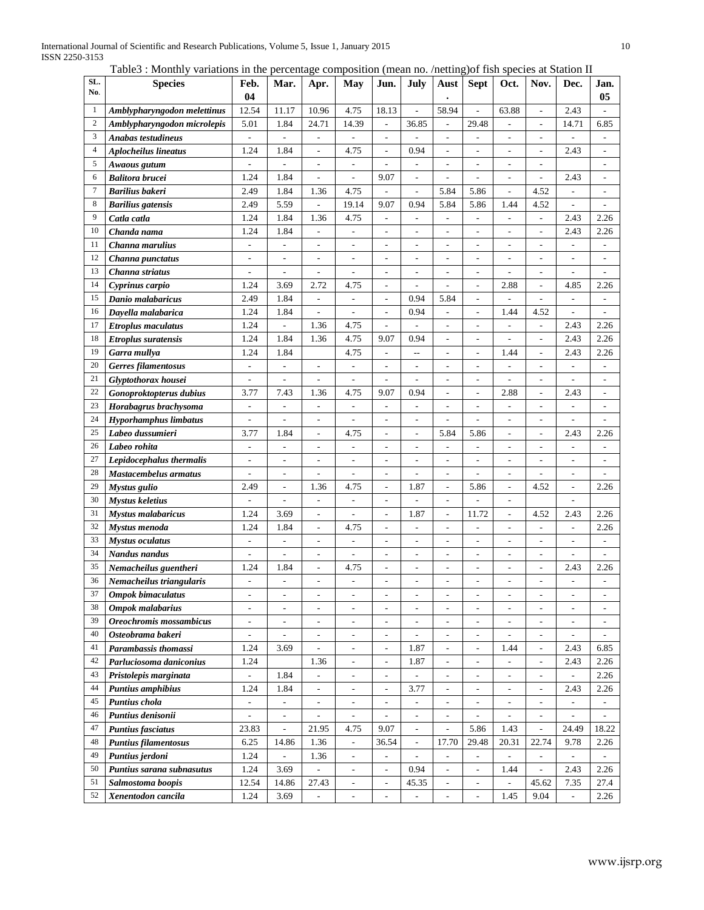Table3 : Monthly variations in the percentage composition (mean no. /netting)of fish species at Station II

| SL.            | <b>Species</b>               | Feb.                     | Mar.                     | Apr.                         | May                          | Jun.                         | July                         | Aust                     | <b>Sept</b>              | Oct.                     | Nov.                         | Dec.                     | Jan.                     |
|----------------|------------------------------|--------------------------|--------------------------|------------------------------|------------------------------|------------------------------|------------------------------|--------------------------|--------------------------|--------------------------|------------------------------|--------------------------|--------------------------|
| No.            |                              | 04                       |                          |                              |                              |                              |                              |                          |                          |                          |                              |                          | 05                       |
| 1              | Amblypharyngodon melettinus  | 12.54                    | 11.17                    | 10.96                        | 4.75                         | 18.13                        | L,                           | 58.94                    |                          | 63.88                    | ÷,                           | 2.43                     |                          |
| $\overline{2}$ | Amblypharyngodon microlepis  | 5.01                     | 1.84                     | 24.71                        | 14.39                        | $\overline{\phantom{a}}$     | 36.85                        | $\overline{\phantom{a}}$ | 29.48                    |                          | -                            | 14.71                    | 6.85                     |
| 3              | <b>Anabas testudineus</b>    | ÷,                       |                          | ÷,                           |                              | J.                           |                              | L,                       |                          |                          | L,                           |                          |                          |
| $\overline{4}$ | <b>Aplocheilus lineatus</b>  | 1.24                     | 1.84                     |                              | 4.75                         |                              | 0.94                         |                          |                          |                          |                              | 2.43                     |                          |
| 5              | Awaous gutum                 |                          | L,                       | L,                           | ÷,                           | $\overline{a}$               | ÷,                           | $\overline{a}$           |                          |                          | L,                           |                          |                          |
| 6              | <b>Balitora brucei</b>       | 1.24                     | 1.84                     |                              |                              | 9.07                         |                              |                          |                          |                          |                              | 2.43                     |                          |
| $\tau$         | <b>Barilius</b> bakeri       | 2.49                     | 1.84                     | 1.36                         | 4.75                         | $\overline{a}$               | $\overline{\phantom{a}}$     | 5.84                     | 5.86                     | ÷,                       | 4.52                         | $\overline{\phantom{a}}$ | $\overline{\phantom{a}}$ |
| 8              | <b>Barilius</b> gatensis     | 2.49                     | 5.59                     | ÷                            | 19.14                        | 9.07                         | 0.94                         | 5.84                     | 5.86                     | 1.44                     | 4.52                         | $\overline{a}$           | ÷                        |
| 9              | Catla catla                  | 1.24                     | 1.84                     | 1.36                         | 4.75                         | $\frac{1}{2}$                | ÷,                           | $\overline{\phantom{a}}$ | $\overline{a}$           | $\overline{a}$           | L,                           | 2.43                     | 2.26                     |
| 10             | Chanda nama                  | 1.24                     | 1.84                     | $\overline{\phantom{a}}$     | ÷,                           | $\overline{a}$               | ÷,                           | $\overline{a}$           | $\overline{a}$           | ÷,                       | L,                           | 2.43                     | 2.26                     |
| 11             | Channa marulius              | $\overline{\phantom{a}}$ | $\overline{a}$           | $\overline{a}$               | ÷,                           | $\overline{a}$               | $\overline{\phantom{a}}$     | $\overline{a}$           | $\overline{a}$           | $\overline{\phantom{a}}$ | ÷,                           | $\overline{a}$           |                          |
| 12             | Channa punctatus             | $\overline{\phantom{a}}$ | $\overline{\phantom{0}}$ | $\overline{\phantom{a}}$     | $\overline{a}$               | $\overline{\phantom{a}}$     | $\overline{\phantom{a}}$     | $\overline{\phantom{a}}$ | $\overline{\phantom{a}}$ | $\overline{\phantom{a}}$ | ÷,                           | $\overline{\phantom{0}}$ | $\overline{a}$           |
| 13             | Channa striatus              | $\overline{a}$           | $\overline{a}$           | L.                           | $\overline{a}$               | $\overline{a}$               | ÷,                           | $\overline{a}$           | $\overline{a}$           | L.                       | $\overline{a}$               | $\overline{a}$           |                          |
| 14             | Cyprinus carpio              | 1.24                     | 3.69                     | 2.72                         | 4.75                         | $\frac{1}{2}$                | L,                           | $\overline{a}$           | $\overline{a}$           | 2.88                     | L,                           | 4.85                     | 2.26                     |
| 15             | Danio malabaricus            | 2.49                     | 1.84                     | $\overline{\phantom{a}}$     | $\overline{a}$               | $\overline{\phantom{a}}$     | 0.94                         | 5.84                     | $\overline{a}$           | ÷,                       | L,                           | $\overline{a}$           |                          |
| 16             | Dayella malabarica           | 1.24                     | 1.84                     | ÷,                           | ÷,                           | $\overline{a}$               | 0.94                         | $\overline{a}$           | $\overline{a}$           | 1.44                     | 4.52                         | $\overline{a}$           | $\overline{a}$           |
| 17             | <b>Etroplus maculatus</b>    | 1.24                     | ÷,                       | 1.36                         | 4.75                         | $\overline{\phantom{a}}$     | $\overline{\phantom{a}}$     | $\overline{\phantom{a}}$ | $\overline{\phantom{a}}$ | ÷,                       | L,                           | 2.43                     | 2.26                     |
| 18             | Etroplus suratensis          | 1.24                     | 1.84                     | 1.36                         | 4.75                         | 9.07                         | 0.94                         | $\frac{1}{2}$            | $\overline{a}$           | ÷,                       | $\overline{a}$               | 2.43                     | 2.26                     |
| 19             | Garra mullya                 | 1.24                     | 1.84                     |                              | 4.75                         | $\overline{\phantom{a}}$     | $\overline{\phantom{a}}$     | $\overline{\phantom{a}}$ | $\overline{a}$           | 1.44                     | L,                           | 2.43                     | 2.26                     |
| 20             | Gerres filamentosus          | $\blacksquare$           | $\blacksquare$           | $\overline{\phantom{a}}$     | $\overline{\phantom{a}}$     | $\overline{a}$               | $\overline{\phantom{a}}$     | $\overline{a}$           | L,                       | L,                       | $\overline{a}$               | $\overline{\phantom{a}}$ | $\overline{a}$           |
| 21             | Glyptothorax housei          | $\overline{\phantom{a}}$ | $\overline{\phantom{a}}$ | $\overline{\phantom{a}}$     | $\overline{a}$               | $\overline{a}$               | $\overline{a}$               | $\overline{a}$           | $\overline{a}$           | $\overline{a}$           | $\qquad \qquad \blacksquare$ | $\overline{\phantom{a}}$ | $\overline{\phantom{a}}$ |
| 22             | Gonoproktopterus dubius      | 3.77                     | 7.43                     | 1.36                         | 4.75                         | 9.07                         | 0.94                         | $\overline{\phantom{a}}$ | $\overline{\phantom{a}}$ | 2.88                     | $\overline{a}$               | 2.43                     | $\overline{\phantom{a}}$ |
| 23             | Horabagrus brachysoma        | ÷,                       | $\overline{a}$           | L,                           | $\overline{a}$               | $\overline{a}$               | L,                           | L,                       | L,                       | L,                       | L,                           | L,                       | $\overline{a}$           |
| 24             | <b>Hyporhamphus limbatus</b> | $\overline{a}$           | L,                       | ÷,                           | ÷,                           | ÷,                           | $\overline{a}$               |                          |                          | ÷,                       | L,                           | $\overline{a}$           |                          |
| 25             | Labeo dussumieri             | 3.77                     | 1.84                     | L,                           | 4.75                         | ÷,                           | ÷,                           | 5.84                     | 5.86                     |                          | L,                           | 2.43                     | 2.26                     |
| 26             | Labeo rohita                 | $\overline{a}$           | L,                       | L,                           | ÷,                           | ÷,                           | ÷,                           | $\overline{a}$           |                          |                          | L,                           | L,                       |                          |
| 27             | Lepidocephalus thermalis     | $\overline{a}$           | $\overline{\phantom{0}}$ | ÷,                           | $\overline{a}$               | $\overline{a}$               | ÷,                           | $\overline{a}$           |                          | ÷,                       | ÷,                           | $\overline{\phantom{a}}$ | $\overline{\phantom{a}}$ |
| 28             | Mastacembelus armatus        | ÷,                       | L.                       | ÷                            | L,                           | $\overline{a}$               | ÷.                           | L,                       |                          | ÷.                       | J.                           | $\overline{a}$           |                          |
| 29             | Mystus gulio                 | 2.49                     | L.                       | 1.36                         | 4.75                         | $\overline{a}$               | 1.87                         | $\overline{\phantom{a}}$ | 5.86                     | $\overline{\phantom{a}}$ | 4.52                         | $\frac{1}{2}$            | 2.26                     |
| 30             | <b>Mystus keletius</b>       | ÷,                       | L.                       | ÷,                           | L,                           | $\overline{a}$               | ÷.                           | $\overline{\phantom{a}}$ |                          | $\overline{\phantom{a}}$ |                              | $\overline{a}$           |                          |
| 31             | <b>Mystus malabaricus</b>    | 1.24                     | 3.69                     | $\overline{a}$               |                              | $\overline{a}$               | 1.87                         | $\overline{\phantom{a}}$ | 11.72                    | $\overline{a}$           | 4.52                         | 2.43                     | 2.26                     |
| 32             | Mystus menoda                | 1.24                     | 1.84                     | $\overline{\phantom{a}}$     | 4.75                         | $\overline{\phantom{m}}$     | $\overline{\phantom{a}}$     | $\overline{\phantom{a}}$ |                          | $\overline{a}$           | ÷,                           | $\overline{\phantom{a}}$ | 2.26                     |
| 33             | Mystus oculatus              | $\overline{\phantom{a}}$ | ÷,                       | $\overline{a}$               | L,                           | $\overline{\phantom{a}}$     | $\overline{\phantom{a}}$     | $\frac{1}{2}$            | $\overline{a}$           | $\overline{a}$           | L,                           | $\overline{a}$           | $\overline{\phantom{a}}$ |
| 34             | Nandus nandus                | ÷,                       | L,                       | L,                           | L,                           | $\overline{a}$               | ÷,                           | L,                       | $\overline{a}$           |                          | L,                           | $\overline{a}$           |                          |
| 35             | Nemacheilus guentheri        | 1.24                     | 1.84                     | ÷,                           | 4.75                         | $\overline{a}$               | $\overline{\phantom{a}}$     | L,                       |                          |                          | L,                           | 2.43                     | 2.26                     |
| 36             | Nemacheilus triangularis     | L,                       | ÷,                       | L,                           |                              | L,                           |                              |                          |                          |                          |                              | $\overline{a}$           |                          |
| 37             | <b>Ompok bimaculatus</b>     | $\overline{\phantom{a}}$ | $\overline{a}$           | $\overline{\phantom{a}}$     | $\overline{a}$               | $\qquad \qquad \blacksquare$ | $\overline{\phantom{a}}$     |                          | $\overline{a}$           | $\overline{\phantom{a}}$ |                              | $\overline{\phantom{a}}$ | $\overline{\phantom{a}}$ |
| 38             | Ompok malabarius             | $\overline{\phantom{a}}$ | ÷,                       | ÷,                           | ÷,                           | $\blacksquare$               | ÷,                           | $\frac{1}{2}$            | $\overline{\phantom{a}}$ | $\overline{\phantom{a}}$ | ÷,                           | $\overline{\phantom{a}}$ | $\overline{\phantom{a}}$ |
| 39             | Oreochromis mossambicus      | $\blacksquare$           | $\overline{\phantom{a}}$ | $\overline{\phantom{a}}$     | $\overline{\phantom{a}}$     | $\overline{\phantom{a}}$     | $\qquad \qquad \blacksquare$ | $\overline{\phantom{a}}$ | $\overline{\phantom{a}}$ | $\blacksquare$           | $\overline{\phantom{0}}$     | $\overline{\phantom{a}}$ | $\overline{\phantom{a}}$ |
| 40             | Osteobrama bakeri            | $\overline{\phantom{a}}$ | $\blacksquare$           | $\overline{\phantom{a}}$     | $\overline{\phantom{a}}$     | $\overline{\phantom{a}}$     | $\blacksquare$               | $\blacksquare$           | $\overline{\phantom{a}}$ | $\blacksquare$           | $\blacksquare$               | $\overline{\phantom{a}}$ | $\overline{\phantom{a}}$ |
| 41             | Parambassis thomassi         | 1.24                     | 3.69                     | $\overline{\phantom{a}}$     | $\qquad \qquad \blacksquare$ | $\overline{\phantom{a}}$     | 1.87                         | $\overline{\phantom{a}}$ | $\overline{\phantom{a}}$ | 1.44                     | $\qquad \qquad \blacksquare$ | 2.43                     | 6.85                     |
| 42             | Parluciosoma daniconius      | 1.24                     |                          | 1.36                         | ۰                            | $\overline{\phantom{a}}$     | 1.87                         | $\overline{\phantom{a}}$ | $\overline{\phantom{a}}$ | $\equiv$                 | ÷                            | 2.43                     | 2.26                     |
| 43             | Pristolepis marginata        | $\overline{\phantom{a}}$ | 1.84                     | $\qquad \qquad \blacksquare$ | $\qquad \qquad \blacksquare$ | $\overline{\phantom{a}}$     | $\qquad \qquad \blacksquare$ | $\overline{\phantom{a}}$ | $\overline{\phantom{a}}$ | $\overline{\phantom{a}}$ | $\qquad \qquad \blacksquare$ | $\overline{\phantom{a}}$ | 2.26                     |
| 44             | <b>Puntius amphibius</b>     | 1.24                     | 1.84                     | $\overline{\phantom{0}}$     | $\overline{\phantom{a}}$     | $\overline{\phantom{a}}$     | 3.77                         | $\overline{\phantom{a}}$ | $\overline{\phantom{a}}$ | $\blacksquare$           | $\overline{\phantom{0}}$     | 2.43                     | 2.26                     |
| 45             | Puntius chola                | $\overline{\phantom{a}}$ | $\overline{\phantom{0}}$ | ÷,                           | $\overline{\phantom{a}}$     | $\overline{a}$               | $\blacksquare$               | $\frac{1}{2}$            | $\overline{a}$           | $\overline{\phantom{a}}$ | L,                           | $\overline{\phantom{a}}$ | $\overline{\phantom{a}}$ |
| 46             | Puntius denisonii            | L,                       | $\frac{1}{2}$            |                              | $\overline{a}$               | Ĭ.                           | $\overline{\phantom{a}}$     | $\overline{\phantom{a}}$ |                          | $\overline{\phantom{a}}$ | ÷,                           | $\overline{\phantom{a}}$ |                          |
| 47             | <b>Puntius fasciatus</b>     | 23.83                    | ÷,                       | 21.95                        | 4.75                         | 9.07                         | $\overline{\phantom{a}}$     | $\overline{a}$           | 5.86                     | 1.43                     | ÷,                           | 24.49                    | 18.22                    |
| 48             | <b>Puntius filamentosus</b>  | 6.25                     | 14.86                    | 1.36                         | ÷,                           | 36.54                        | $\overline{\phantom{a}}$     | 17.70                    | 29.48                    | 20.31                    | 22.74                        | 9.78                     | 2.26                     |
| 49             | Puntius jerdoni              | 1.24                     | $\overline{\phantom{0}}$ | 1.36                         | $\overline{\phantom{a}}$     | $\overline{\phantom{a}}$     | ÷,                           | $\overline{\phantom{a}}$ | $\overline{\phantom{a}}$ | $\overline{\phantom{a}}$ | $\overline{a}$               | $\overline{\phantom{a}}$ |                          |
| 50             | Puntius sarana subnasutus    | 1.24                     | 3.69                     |                              | $\overline{a}$               | $\overline{\phantom{a}}$     | 0.94                         | $\overline{\phantom{a}}$ | $\overline{\phantom{a}}$ | 1.44                     |                              | 2.43                     | 2.26                     |
| 51             | Salmostoma boopis            | 12.54                    | 14.86                    | 27.43                        | $\overline{\phantom{a}}$     | $\overline{\phantom{a}}$     | 45.35                        | $\overline{\phantom{a}}$ | $\overline{\phantom{a}}$ |                          | 45.62                        | 7.35                     | 27.4                     |
| 52             | Xenentodon cancila           | 1.24                     | 3.69                     | $\blacksquare$               | $\overline{\phantom{m}}$     | $\overline{\phantom{a}}$     | $\qquad \qquad \blacksquare$ | $\overline{\phantom{a}}$ |                          | 1.45                     | 9.04                         | $\overline{\phantom{a}}$ | 2.26                     |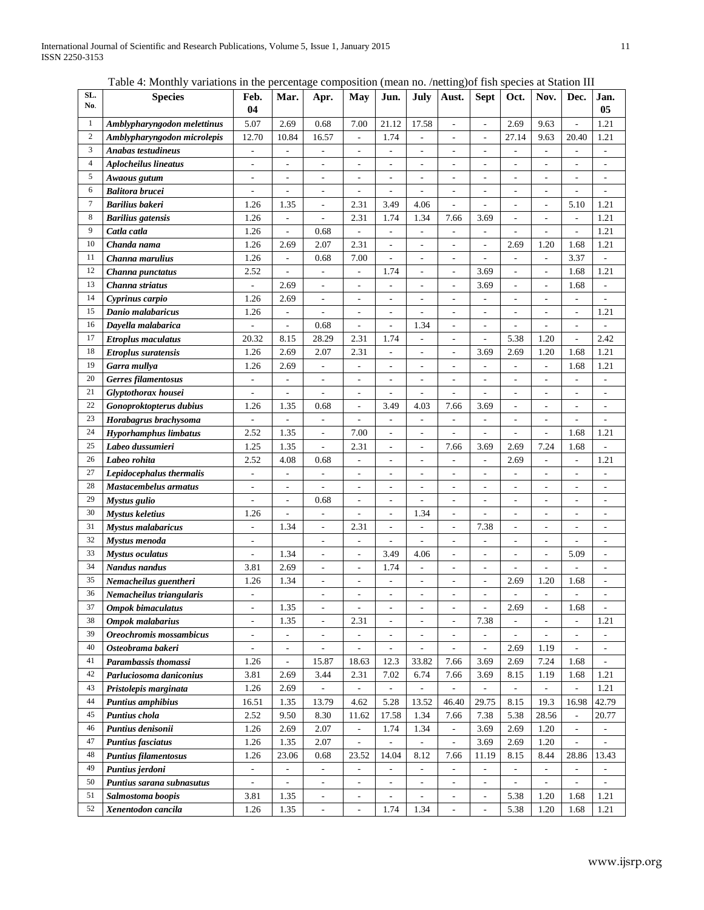Table 4: Monthly variations in the percentage composition (mean no. /netting)of fish species at Station III

| SL.<br>No.     | <b>Species</b>               | Feb.                         | Mar.                         | Apr.                     | May                          | Jun.                     | July                     | Aust.                    | <b>Sept</b>              | Oct.                         | Nov.                     | Dec.                         | Jan.                         |
|----------------|------------------------------|------------------------------|------------------------------|--------------------------|------------------------------|--------------------------|--------------------------|--------------------------|--------------------------|------------------------------|--------------------------|------------------------------|------------------------------|
|                |                              | 04                           |                              |                          |                              |                          |                          |                          |                          |                              |                          |                              | 05                           |
| $\mathbf{1}$   | Amblypharyngodon melettinus  | 5.07                         | 2.69                         | 0.68                     | 7.00                         | 21.12                    | 17.58                    | $\overline{\phantom{a}}$ | $\frac{1}{2}$            | 2.69                         | 9.63                     | $\overline{\phantom{a}}$     | 1.21                         |
| $\overline{c}$ | Amblypharyngodon microlepis  | 12.70                        | 10.84                        | 16.57                    | $\overline{\phantom{a}}$     | 1.74                     | $\overline{\phantom{a}}$ | $\overline{\phantom{a}}$ | $\overline{\phantom{a}}$ | 27.14                        | 9.63                     | 20.40                        | 1.21                         |
| $\mathfrak{Z}$ | <b>Anabas testudineus</b>    | $\overline{\phantom{a}}$     | $\overline{\phantom{a}}$     | ۰                        | $\overline{\phantom{a}}$     | $\overline{\phantom{a}}$ | $\overline{\phantom{a}}$ | $\overline{\phantom{a}}$ | $\overline{\phantom{a}}$ | $\qquad \qquad \blacksquare$ | $\overline{\phantom{a}}$ | $\qquad \qquad \blacksquare$ | $\qquad \qquad \blacksquare$ |
| $\overline{4}$ | <b>Aplocheilus lineatus</b>  | $\qquad \qquad \blacksquare$ | $\qquad \qquad \blacksquare$ | $\overline{\phantom{m}}$ | $\overline{a}$               | $\overline{a}$           | $\overline{\phantom{a}}$ | $\frac{1}{2}$            | $\overline{\phantom{a}}$ | $\overline{a}$               |                          |                              | $\overline{a}$               |
| 5              | Awaous gutum                 | ÷,                           | ÷,                           | L,                       | $\overline{\phantom{a}}$     | L,                       |                          | ÷,                       | $\sim$                   | ÷,                           | L,                       | ÷,                           | L,                           |
| 6              | <b>Balitora brucei</b>       | $\overline{\phantom{a}}$     | L,                           | L,                       | ÷,                           | L,                       |                          | ÷,                       | $\overline{\phantom{a}}$ | L,                           | L,                       |                              |                              |
| $\tau$         | <b>Barilius bakeri</b>       | 1.26                         | 1.35                         |                          | 2.31                         | 3.49                     | 4.06                     | L,                       |                          | $\overline{a}$               | -                        | 5.10                         | 1.21                         |
| $\bf 8$        | <b>Barilius</b> gatensis     | 1.26                         | $\overline{a}$               | L,                       | 2.31                         | 1.74                     | 1.34                     | 7.66                     | 3.69                     | $\overline{a}$               | ÷,                       | $\overline{\phantom{a}}$     | 1.21                         |
| 9              | Catla catla                  | 1.26                         | $\overline{\phantom{a}}$     | 0.68                     | ÷,                           | $\overline{\phantom{a}}$ | $\overline{\phantom{a}}$ | ÷,                       | $\overline{\phantom{a}}$ | $\overline{a}$               | L,                       | $\overline{a}$               | 1.21                         |
| 10             | Chanda nama                  | 1.26                         | 2.69                         | 2.07                     | 2.31                         | L,                       | L,                       | L,                       | $\overline{\phantom{a}}$ | 2.69                         | 1.20                     | 1.68                         | 1.21                         |
| 11             | Channa marulius              | 1.26                         | $\overline{\phantom{a}}$     | 0.68                     | 7.00                         | ÷,                       | $\overline{a}$           | $\overline{a}$           | $\overline{a}$           | $\overline{\phantom{a}}$     | $\overline{\phantom{0}}$ | 3.37                         |                              |
| 12             | Channa punctatus             | 2.52                         |                              | $\overline{\phantom{a}}$ | $\overline{\phantom{a}}$     | 1.74                     | $\overline{\phantom{a}}$ | $\overline{\phantom{a}}$ | 3.69                     | $\overline{a}$               | $\overline{a}$           | 1.68                         | 1.21                         |
| 13             | Channa striatus              | $\overline{\phantom{a}}$     | 2.69                         | L,                       | $\overline{a}$               | $\overline{a}$           | $\overline{\phantom{a}}$ | $\overline{\phantom{a}}$ | 3.69                     | $\overline{\phantom{a}}$     | ۰                        | 1.68                         |                              |
| 14             | Cyprinus carpio              | 1.26                         | 2.69                         | $\frac{1}{2}$            | $\overline{\phantom{a}}$     | $\overline{\phantom{a}}$ | $\overline{a}$           | $\frac{1}{2}$            | $\overline{\phantom{a}}$ | ÷,                           | L,                       | $\overline{\phantom{a}}$     | $\overline{a}$               |
| 15             | Danio malabaricus            | 1.26                         | ÷,                           | $\overline{a}$           | $\overline{\phantom{a}}$     | $\overline{\phantom{a}}$ | $\overline{\phantom{a}}$ | $\overline{a}$           | $\overline{a}$           | L,                           | L,                       | $\sim$                       | 1.21                         |
| 16             | Dayella malabarica           | ÷,                           | $\overline{\phantom{a}}$     | 0.68                     | $\overline{\phantom{a}}$     | $\overline{\phantom{a}}$ | 1.34                     | $\overline{\phantom{a}}$ | $\sim$                   | L,                           | L,                       | $\sim$                       | $\overline{a}$               |
| 17             | <b>Etroplus maculatus</b>    | 20.32                        | 8.15                         | 28.29                    | 2.31                         | 1.74                     | $\overline{a}$           | $\overline{\phantom{a}}$ | $\sim$                   | 5.38                         | 1.20                     | $\sim$                       | 2.42                         |
| 18             | <b>Etroplus suratensis</b>   | 1.26                         | 2.69                         | 2.07                     | 2.31                         | ÷,                       | $\overline{\phantom{a}}$ | $\overline{\phantom{a}}$ | 3.69                     | 2.69                         | 1.20                     | 1.68                         | 1.21                         |
| 19             | Garra mullya                 | 1.26                         | 2.69                         | $\overline{\phantom{a}}$ | $\overline{a}$               | $\overline{\phantom{a}}$ | $\overline{\phantom{a}}$ | $\overline{\phantom{a}}$ | $\overline{\phantom{a}}$ | L,                           | ÷,                       | 1.68                         | 1.21                         |
| 20             | Gerres filamentosus          | $\overline{\phantom{a}}$     | $\overline{\phantom{a}}$     | $\blacksquare$           | $\overline{\phantom{a}}$     | $\overline{\phantom{a}}$ | $\overline{\phantom{a}}$ | $\overline{\phantom{a}}$ | $\overline{\phantom{a}}$ | $\overline{\phantom{a}}$     | $\overline{\phantom{a}}$ | $\overline{\phantom{a}}$     | $\overline{\phantom{a}}$     |
| 21             | Glyptothorax housei          | $\overline{\phantom{a}}$     | $\overline{\phantom{a}}$     | $\frac{1}{2}$            | $\overline{\phantom{a}}$     | $\overline{\phantom{a}}$ | $\overline{\phantom{a}}$ | $\overline{\phantom{a}}$ | $\overline{\phantom{a}}$ | $\overline{\phantom{a}}$     | $\overline{a}$           | $\overline{\phantom{a}}$     | $\qquad \qquad \blacksquare$ |
| 22             | Gonoproktopterus dubius      | 1.26                         | 1.35                         | 0.68                     | $\overline{\phantom{a}}$     | 3.49                     | 4.03                     | 7.66                     | 3.69                     | $\overline{a}$               | $\overline{a}$           | $\overline{\phantom{a}}$     | $\qquad \qquad \blacksquare$ |
| 23             | Horabagrus brachysoma        | $\overline{\phantom{a}}$     | $\overline{\phantom{a}}$     | $\overline{\phantom{a}}$ | $\qquad \qquad \blacksquare$ | $\overline{\phantom{m}}$ | $\overline{\phantom{a}}$ | -                        | $\overline{\phantom{a}}$ | ۰                            | ۰                        | $\qquad \qquad \blacksquare$ | $\qquad \qquad \blacksquare$ |
| 24             | <b>Hyporhamphus limbatus</b> | 2.52                         | 1.35                         | $\overline{a}$           | 7.00                         | Ĭ.                       |                          | $\overline{a}$           | $\overline{a}$           | ÷,                           | L,                       | 1.68                         | 1.21                         |
| 25             | Labeo dussumieri             | 1.25                         | 1.35                         | $\overline{a}$           | 2.31                         |                          |                          | 7.66                     | 3.69                     | 2.69                         | 7.24                     | 1.68                         |                              |
| 26             | Labeo rohita                 | 2.52                         | 4.08                         | 0.68                     | ÷,                           |                          |                          | L,                       | $\overline{\phantom{a}}$ | 2.69                         |                          | ÷,                           | 1.21                         |
| 27             | Lepidocephalus thermalis     | $\overline{\phantom{a}}$     | ÷,                           | $\overline{a}$           | $\overline{a}$               | L,                       |                          | L,                       | $\overline{a}$           | ÷,                           | $\overline{a}$           | $\overline{a}$               |                              |
| 28             | Mastacembelus armatus        | $\overline{\phantom{0}}$     | ÷,                           | $\overline{a}$           | $\overline{a}$               | ÷,                       | ÷,                       | ÷,                       | $\overline{a}$           | $\overline{a}$               | ÷,                       | $\overline{a}$               | $\overline{a}$               |
| 29             | Mystus gulio                 | $\overline{\phantom{a}}$     | $\overline{\phantom{a}}$     | 0.68                     | $\overline{\phantom{a}}$     | $\overline{a}$           | $\overline{\phantom{a}}$ | ÷,                       | L,                       | $\overline{a}$               | ÷,                       | $\overline{a}$               | $\overline{a}$               |
| 30             | <b>Mystus keletius</b>       | 1.26                         |                              | $\overline{a}$           | ÷,                           | $\overline{a}$           | 1.34                     | $\overline{\phantom{a}}$ | $\overline{a}$           | $\overline{a}$               | ÷,                       | $\overline{\phantom{a}}$     | $\overline{a}$               |
| 31             | <b>Mystus malabaricus</b>    | $\overline{\phantom{a}}$     | 1.34                         | $\overline{a}$           | 2.31                         | $\overline{a}$           | L,                       | $\overline{\phantom{a}}$ | 7.38                     | $\overline{a}$               | L,                       | $\sim$                       | $\sim$                       |
| 32             | Mystus menoda                | $\overline{\phantom{a}}$     |                              | $\overline{a}$           | $\overline{\phantom{a}}$     |                          |                          | ÷,                       | $\overline{a}$           | $\overline{\phantom{a}}$     | ÷,                       |                              | $\overline{a}$               |
| 33             | <b>Mystus oculatus</b>       | $\overline{\phantom{a}}$     | 1.34                         | L,                       | $\overline{\phantom{a}}$     | 3.49                     | 4.06                     | $\overline{\phantom{a}}$ | $\overline{\phantom{a}}$ | $\overline{a}$               | $\overline{a}$           | 5.09                         | $\overline{a}$               |
| 34             | Nandus nandus                | 3.81                         | 2.69                         | $\overline{a}$           | $\overline{\phantom{a}}$     | 1.74                     |                          | $\overline{a}$           | L,                       |                              |                          |                              | $\overline{a}$               |
| 35             | Nemacheilus guentheri        | 1.26                         | 1.34                         | $\overline{a}$           | $\overline{\phantom{a}}$     |                          | $\overline{\phantom{a}}$ | L,                       | $\overline{a}$           | 2.69                         | 1.20                     | 1.68                         | $\overline{a}$               |
| 36             | Nemacheilus triangularis     | $\overline{\phantom{a}}$     |                              | $\overline{a}$           | L,                           | L,                       | $\overline{\phantom{a}}$ | L.                       |                          |                              |                          |                              | $\overline{a}$               |
| 37             | <b>Ompok bimaculatus</b>     | $\overline{\phantom{a}}$     | 1.35                         | $\frac{1}{2}$            | L,                           | $\overline{\phantom{a}}$ |                          | $\overline{\phantom{a}}$ | $\overline{\phantom{a}}$ | 2.69                         | $\overline{\phantom{0}}$ | 1.68                         |                              |
| 38             | Ompok malabarius             | $\overline{\phantom{a}}$     | 1.35                         | $\frac{1}{2}$            | 2.31                         | $\overline{\phantom{a}}$ | $\overline{\phantom{a}}$ | $\overline{\phantom{a}}$ | 7.38                     | $\overline{\phantom{a}}$     | $\overline{\phantom{a}}$ | $\overline{\phantom{a}}$     | 1.21                         |
| 39             | Oreochromis mossambicus      | $\overline{\phantom{a}}$     | $\overline{\phantom{a}}$     | $\overline{\phantom{a}}$ | $\Box$                       | $\overline{\phantom{a}}$ | $\overline{\phantom{a}}$ | $\overline{\phantom{a}}$ | $\overline{\phantom{a}}$ | $\blacksquare$               | $\overline{\phantom{a}}$ | $\overline{\phantom{a}}$     | $\overline{\phantom{a}}$     |
| 40             | Osteobrama bakeri            | $\overline{\phantom{a}}$     | $\overline{\phantom{a}}$     | $\overline{\phantom{a}}$ | $\blacksquare$               | $\overline{\phantom{a}}$ | $\overline{\phantom{a}}$ | $\overline{\phantom{a}}$ | $\overline{\phantom{a}}$ | 2.69                         | 1.19                     | $\overline{\phantom{a}}$     | $\overline{\phantom{a}}$     |
| 41             | Parambassis thomassi         | 1.26                         | $\overline{\phantom{a}}$     | 15.87                    | 18.63                        | 12.3                     | 33.82                    | 7.66                     | 3.69                     | 2.69                         | 7.24                     | 1.68                         | $\overline{\phantom{a}}$     |
| 42             | Parluciosoma daniconius      | 3.81                         | 2.69                         | 3.44                     | 2.31                         | 7.02                     | 6.74                     | 7.66                     | 3.69                     | 8.15                         | 1.19                     | 1.68                         | 1.21                         |
| 43             | Pristolepis marginata        | 1.26                         | 2.69                         | $\overline{\phantom{a}}$ | $\overline{\phantom{a}}$     | $\overline{\phantom{a}}$ | $\blacksquare$           | $\overline{\phantom{a}}$ | $\overline{\phantom{a}}$ | $\overline{\phantom{a}}$     | $\equiv$                 | $\overline{\phantom{a}}$     | 1.21                         |
| 44             | <b>Puntius amphibius</b>     | 16.51                        | 1.35                         | 13.79                    | 4.62                         | 5.28                     | 13.52                    | 46.40                    | 29.75                    | 8.15                         | 19.3                     | 16.98                        | 42.79                        |
| 45             | Puntius chola                | 2.52                         | 9.50                         | 8.30                     | 11.62                        | 17.58                    | 1.34                     | 7.66                     | 7.38                     | 5.38                         | 28.56                    |                              | 20.77                        |
| 46             | Puntius denisonii            | 1.26                         | 2.69                         | 2.07                     | $\qquad \qquad \blacksquare$ | 1.74                     | 1.34                     | $\overline{\phantom{a}}$ | 3.69                     | 2.69                         | 1.20                     | $\blacksquare$               | $\overline{\phantom{a}}$     |
| 47             | <b>Puntius fasciatus</b>     | 1.26                         | 1.35                         | 2.07                     | $\overline{a}$               | $\overline{\phantom{a}}$ | $\overline{\phantom{a}}$ | $\overline{\phantom{a}}$ | 3.69                     | 2.69                         | 1.20                     | $\overline{\phantom{a}}$     |                              |
| 48             | <b>Puntius filamentosus</b>  | 1.26                         | 23.06                        | 0.68                     | 23.52                        | 14.04                    | 8.12                     | 7.66                     | 11.19                    | 8.15                         | 8.44                     | 28.86                        | 13.43                        |
| 49             | Puntius jerdoni              | $\overline{\phantom{a}}$     | $\overline{\phantom{a}}$     | $\overline{\phantom{a}}$ | $\overline{\phantom{a}}$     | $\overline{\phantom{a}}$ | $\overline{\phantom{a}}$ | $\overline{\phantom{a}}$ | $\overline{\phantom{a}}$ | $\overline{\phantom{a}}$     | $\overline{\phantom{a}}$ | $\overline{\phantom{a}}$     |                              |
| 50             | Puntius sarana subnasutus    | $\overline{\phantom{a}}$     |                              | $\overline{\phantom{a}}$ | $\overline{\phantom{a}}$     | $\overline{\phantom{a}}$ | $\overline{\phantom{a}}$ | $\overline{\phantom{a}}$ | $\overline{\phantom{a}}$ | $\overline{\phantom{a}}$     | $\overline{a}$           | ٠                            |                              |
| 51             | Salmostoma boopis            | 3.81                         | 1.35                         | $\frac{1}{2}$            | $\overline{\phantom{a}}$     | $\overline{\phantom{a}}$ | $\overline{\phantom{a}}$ | $\overline{\phantom{a}}$ | $\overline{\phantom{a}}$ | 5.38                         | 1.20                     | 1.68                         | 1.21                         |
| 52             | Xenentodon cancila           | 1.26                         | 1.35                         | $\overline{\phantom{a}}$ | $\overline{\phantom{a}}$     | 1.74                     | 1.34                     | $\overline{\phantom{a}}$ | $\overline{\phantom{a}}$ | 5.38                         | 1.20                     | 1.68                         | 1.21                         |